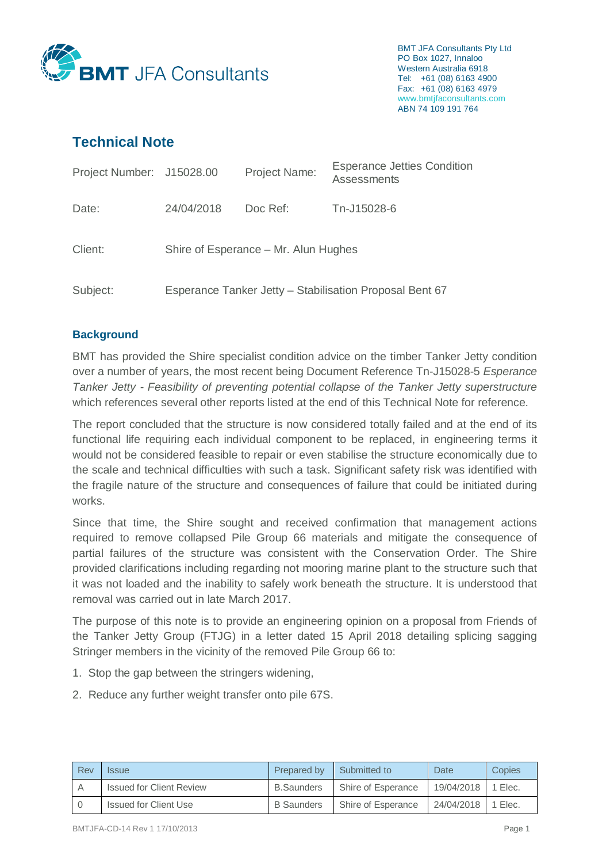

BMT JFA Consultants Pty Ltd PO Box 1027, Innaloo Western Australia 6918 Tel: +61 (08) 6163 4900 Fax: +61 (08) 6163 4979 www.bmtjfaconsultants.com ABN 74 109 191 764

# **Technical Note**

| Project Number: J15028.00 |                                                         | <b>Project Name:</b> | <b>Esperance Jetties Condition</b><br>Assessments |  |  |
|---------------------------|---------------------------------------------------------|----------------------|---------------------------------------------------|--|--|
| Date:                     | 24/04/2018                                              | Doc Ref:             | Tn-J15028-6                                       |  |  |
| Client:                   | Shire of Esperance – Mr. Alun Hughes                    |                      |                                                   |  |  |
| Subject:                  | Esperance Tanker Jetty - Stabilisation Proposal Bent 67 |                      |                                                   |  |  |

## **Background**

BMT has provided the Shire specialist condition advice on the timber Tanker Jetty condition over a number of years, the most recent being Document Reference Tn-J15028-5 *Esperance Tanker Jetty - Feasibility of preventing potential collapse of the Tanker Jetty superstructure* which references several other reports listed at the end of this Technical Note for reference.

The report concluded that the structure is now considered totally failed and at the end of its functional life requiring each individual component to be replaced, in engineering terms it would not be considered feasible to repair or even stabilise the structure economically due to the scale and technical difficulties with such a task. Significant safety risk was identified with the fragile nature of the structure and consequences of failure that could be initiated during works.

Since that time, the Shire sought and received confirmation that management actions required to remove collapsed Pile Group 66 materials and mitigate the consequence of partial failures of the structure was consistent with the Conservation Order. The Shire provided clarifications including regarding not mooring marine plant to the structure such that it was not loaded and the inability to safely work beneath the structure. It is understood that removal was carried out in late March 2017.

The purpose of this note is to provide an engineering opinion on a proposal from Friends of the Tanker Jetty Group (FTJG) in a letter dated 15 April 2018 detailing splicing sagging Stringer members in the vicinity of the removed Pile Group 66 to:

- 1. Stop the gap between the stringers widening,
- 2. Reduce any further weight transfer onto pile 67S.

| Rev | <i><b>Issue</b></i>             | Prepared by       | Submitted to       | Date <sup>-</sup>    | Copies |
|-----|---------------------------------|-------------------|--------------------|----------------------|--------|
| A   | <b>Issued for Client Review</b> | <b>B.Saunders</b> | Shire of Esperance | 19/04/2018   1 Elec. |        |
|     | Issued for Client Use           | <b>B</b> Saunders | Shire of Esperance | 24/04/2018 1 Elec.   |        |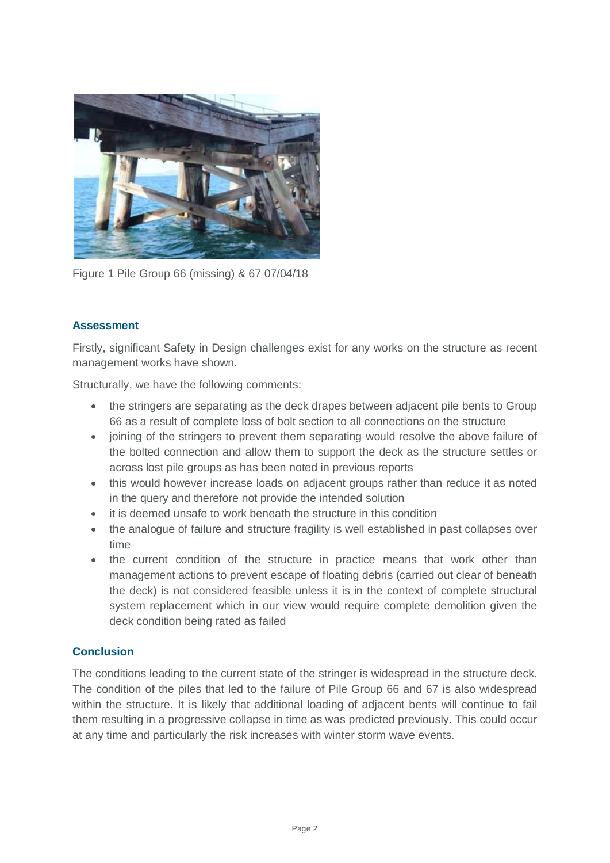

Figure 1 Pile Group 66 (missing) & 67 07/04/18

## **Assessment**

Firstly, significant Safety in Design challenges exist for any works on the structure as recent management works have shown.

Structurally, we have the following comments:

- the stringers are separating as the deck drapes between adjacent pile bents to Group 66 as a result of complete loss of bolt section to all connections on the structure
- joining of the stringers to prevent them separating would resolve the above failure of the bolted connection and allow them to support the deck as the structure settles or across lost pile groups as has been noted in previous reports
- this would however increase loads on adjacent groups rather than reduce it as noted in the query and therefore not provide the intended solution
- it is deemed unsafe to work beneath the structure in this condition
- the analogue of failure and structure fragility is well established in past collapses over time
- the current condition of the structure in practice means that work other than management actions to prevent escape of floating debris (carried out clear of beneath the deck) is not considered feasible unless it is in the context of complete structural system replacement which in our view would require complete demolition given the deck condition being rated as failed

#### **Conclusion**

The conditions leading to the current state of the stringer is widespread in the structure deck. The condition of the piles that led to the failure of Pile Group 66 and 67 is also widespread within the structure. It is likely that additional loading of adjacent bents will continue to fail them resulting in a progressive collapse in time as was predicted previously. This could occur at any time and particularly the risk increases with winter storm wave events.